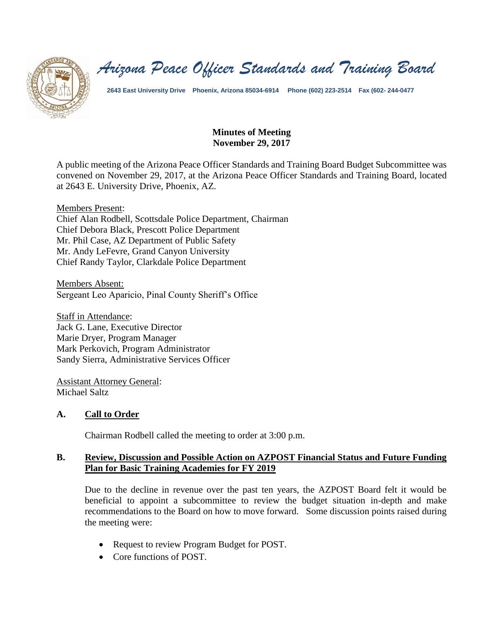

*Arizona Peace Officer Standards and Training Board*

**2643 East University Drive Phoenix, Arizona 85034-6914 Phone (602) 223-2514 Fax (602- 244-0477**

## **Minutes of Meeting November 29, 2017**

A public meeting of the Arizona Peace Officer Standards and Training Board Budget Subcommittee was convened on November 29, 2017, at the Arizona Peace Officer Standards and Training Board, located at 2643 E. University Drive, Phoenix, AZ.

Members Present: Chief Alan Rodbell, Scottsdale Police Department, Chairman Chief Debora Black, Prescott Police Department Mr. Phil Case, AZ Department of Public Safety Mr. Andy LeFevre, Grand Canyon University Chief Randy Taylor, Clarkdale Police Department

Members Absent: Sergeant Leo Aparicio, Pinal County Sheriff's Office

Staff in Attendance: Jack G. Lane, Executive Director Marie Dryer, Program Manager Mark Perkovich, Program Administrator Sandy Sierra, Administrative Services Officer

Assistant Attorney General: Michael Saltz

## **A. Call to Order**

Chairman Rodbell called the meeting to order at 3:00 p.m.

## **B. Review, Discussion and Possible Action on AZPOST Financial Status and Future Funding Plan for Basic Training Academies for FY 2019**

Due to the decline in revenue over the past ten years, the AZPOST Board felt it would be beneficial to appoint a subcommittee to review the budget situation in-depth and make recommendations to the Board on how to move forward. Some discussion points raised during the meeting were:

- Request to review Program Budget for POST.
- Core functions of POST.